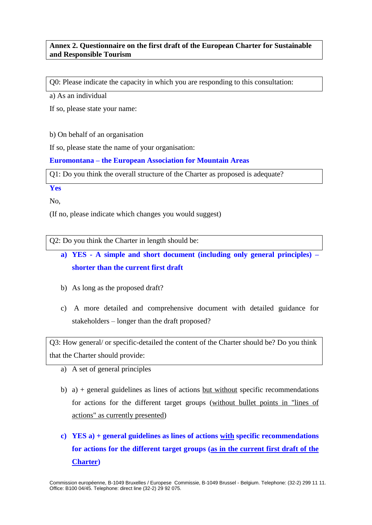## **Annex 2. Questionnaire on the first draft of the European Charter for Sustainable and Responsible Tourism**

Q0: Please indicate the capacity in which you are responding to this consultation:

a) As an individual

If so, please state your name:

b) On behalf of an organisation

If so, please state the name of your organisation:

## **Euromontana – the European Association for Mountain Areas**

Q1: Do you think the overall structure of the Charter as proposed is adequate?

**Yes** 

No,

(If no, please indicate which changes you would suggest)

Q2: Do you think the Charter in length should be:

- **a) YES - A simple and short document (including only general principles) – shorter than the current first draft**
- b) As long as the proposed draft?
- c) A more detailed and comprehensive document with detailed guidance for stakeholders – longer than the draft proposed?

Q3: How general/ or specific-detailed the content of the Charter should be? Do you think that the Charter should provide:

- a) A set of general principles
- b) a) + general guidelines as lines of actions but without specific recommendations for actions for the different target groups (without bullet points in "lines of actions" as currently presented)
- **c) YES a) + general guidelines as lines of actions with specific recommendations for actions for the different target groups (as in the current first draft of the Charter)**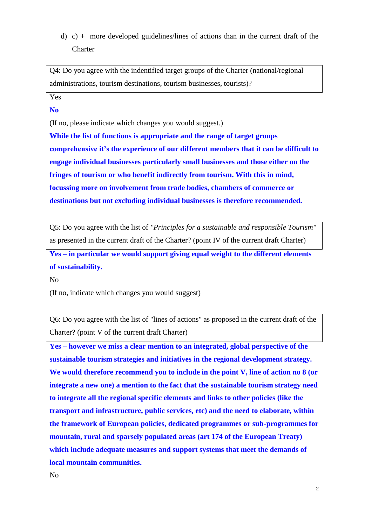d) c) + more developed guidelines/lines of actions than in the current draft of the **Charter** 

Q4: Do you agree with the indentified target groups of the Charter (national/regional administrations, tourism destinations, tourism businesses, tourists)?

Yes

**No**

(If no, please indicate which changes you would suggest.)

**While the list of functions is appropriate and the range of target groups comprehensive it's the experience of our different members that it can be difficult to engage individual businesses particularly small businesses and those either on the fringes of tourism or who benefit indirectly from tourism. With this in mind, focussing more on involvement from trade bodies, chambers of commerce or destinations but not excluding individual businesses is therefore recommended.**

Q5: Do you agree with the list of *"Principles for a sustainable and responsible Tourism"* as presented in the current draft of the Charter? (point IV of the current draft Charter)

**Yes – in particular we would support giving equal weight to the different elements of sustainability.**

No

(If no, indicate which changes you would suggest)

Q6: Do you agree with the list of "lines of actions" as proposed in the current draft of the Charter? (point V of the current draft Charter)

**Yes – however we miss a clear mention to an integrated, global perspective of the sustainable tourism strategies and initiatives in the regional development strategy. We would therefore recommend you to include in the point V, line of action no 8 (or integrate a new one) a mention to the fact that the sustainable tourism strategy need to integrate all the regional specific elements and links to other policies (like the transport and infrastructure, public services, etc) and the need to elaborate, within the framework of European policies, dedicated programmes or sub-programmes for mountain, rural and sparsely populated areas (art 174 of the European Treaty) which include adequate measures and support systems that meet the demands of local mountain communities.**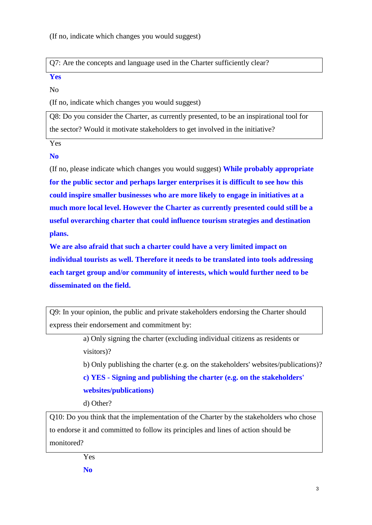(If no, indicate which changes you would suggest)

Q7: Are the concepts and language used in the Charter sufficiently clear?

**Yes** 

No

(If no, indicate which changes you would suggest)

Q8: Do you consider the Charter, as currently presented, to be an inspirational tool for the sector? Would it motivate stakeholders to get involved in the initiative?

Yes

**No**

(If no, please indicate which changes you would suggest) **While probably appropriate for the public sector and perhaps larger enterprises it is difficult to see how this could inspire smaller businesses who are more likely to engage in initiatives at a much more local level. However the Charter as currently presented could still be a useful overarching charter that could influence tourism strategies and destination plans.**

**We are also afraid that such a charter could have a very limited impact on individual tourists as well. Therefore it needs to be translated into tools addressing each target group and/or community of interests, which would further need to be disseminated on the field.** 

Q9: In your opinion, the public and private stakeholders endorsing the Charter should express their endorsement and commitment by:

> a) Only signing the charter (excluding individual citizens as residents or visitors)?

b) Only publishing the charter (e.g. on the stakeholders' websites/publications)? **c) YES - Signing and publishing the charter (e.g. on the stakeholders' websites/publications)**

d) Other?

Q10: Do you think that the implementation of the Charter by the stakeholders who chose to endorse it and committed to follow its principles and lines of action should be monitored?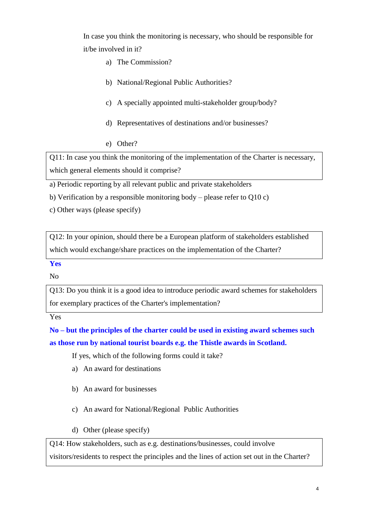In case you think the monitoring is necessary, who should be responsible for it/be involved in it?

- a) The Commission?
- b) National/Regional Public Authorities?
- c) A specially appointed multi-stakeholder group/body?
- d) Representatives of destinations and/or businesses?
- e) Other?

Q11: In case you think the monitoring of the implementation of the Charter is necessary, which general elements should it comprise?

a) Periodic reporting by all relevant public and private stakeholders

b) Verification by a responsible monitoring body – please refer to  $Q10 c$ )

c) Other ways (please specify)

Q12: In your opinion, should there be a European platform of stakeholders established which would exchange/share practices on the implementation of the Charter?

**Yes**

No

Q13: Do you think it is a good idea to introduce periodic award schemes for stakeholders for exemplary practices of the Charter's implementation?

Yes

**No – but the principles of the charter could be used in existing award schemes such as those run by national tourist boards e.g. the Thistle awards in Scotland.**

If yes, which of the following forms could it take?

- a) An award for destinations
- b) An award for businesses
- c) An award for National/Regional Public Authorities
- d) Other (please specify)

Q14: How stakeholders, such as e.g. destinations/businesses, could involve visitors/residents to respect the principles and the lines of action set out in the Charter?